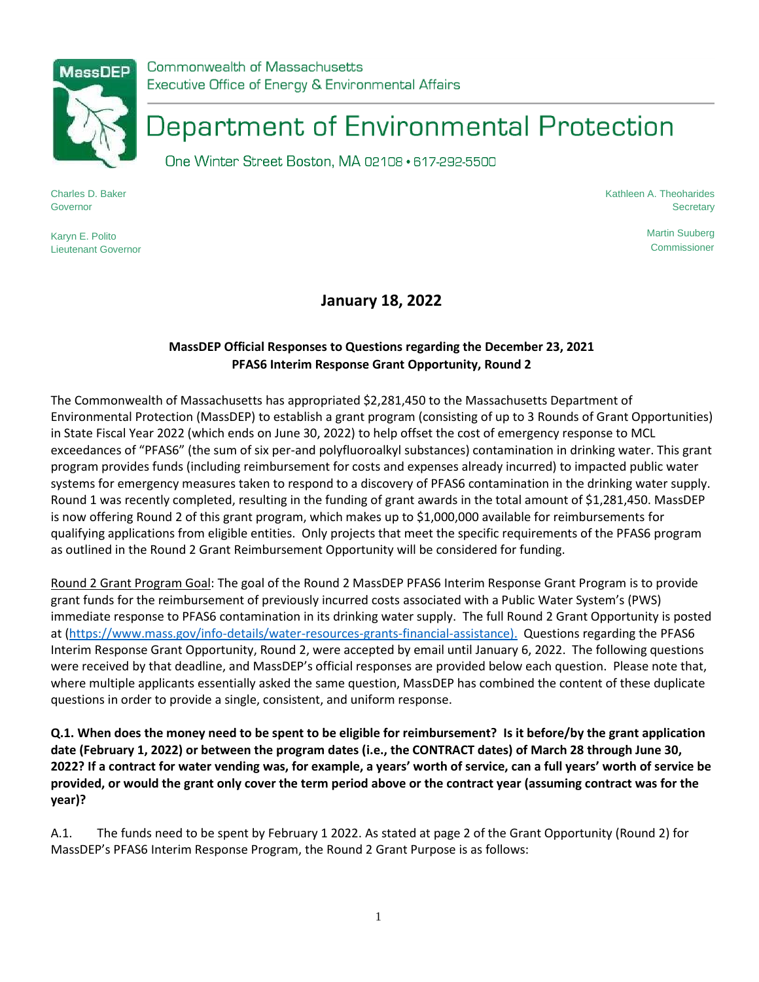

Commonwealth of Massachusetts Executive Office of Energy & Environmental Affairs

# Department of Environmental Protection

One Winter Street Boston, MA 02108 · 617-292-5500

Charles D. Baker **Governor** 

Karyn E. Polito Lieutenant Governor Kathleen A. Theoharides **Secretary** 

> Martin Suuberg **Commissioner**

**January 18, 2022**

## **MassDEP Official Responses to Questions regarding the December 23, 2021 PFAS6 Interim Response Grant Opportunity, Round 2**

The Commonwealth of Massachusetts has appropriated \$2,281,450 to the Massachusetts Department of Environmental Protection (MassDEP) to establish a grant program (consisting of up to 3 Rounds of Grant Opportunities) in State Fiscal Year 2022 (which ends on June 30, 2022) to help offset the cost of emergency response to MCL exceedances of "PFAS6" (the sum of six per-and polyfluoroalkyl substances) contamination in drinking water. This grant program provides funds (including reimbursement for costs and expenses already incurred) to impacted public water systems for emergency measures taken to respond to a discovery of PFAS6 contamination in the drinking water supply. Round 1 was recently completed, resulting in the funding of grant awards in the total amount of \$1,281,450. MassDEP is now offering Round 2 of this grant program, which makes up to \$1,000,000 available for reimbursements for qualifying applications from eligible entities. Only projects that meet the specific requirements of the PFAS6 program as outlined in the Round 2 Grant Reimbursement Opportunity will be considered for funding.

Round 2 Grant Program Goal: The goal of the Round 2 MassDEP PFAS6 Interim Response Grant Program is to provide grant funds for the reimbursement of previously incurred costs associated with a Public Water System's (PWS) immediate response to PFAS6 contamination in its drinking water supply. The full Round 2 Grant Opportunity is posted at [\(https://www.mass.gov/info-details/water-resources-grants-financial-assistance\)](https://www.mass.gov/info-details/water-resources-grants-financial-assistance). Questions regarding the PFAS6 Interim Response Grant Opportunity, Round 2, were accepted by email until January 6, 2022. The following questions were received by that deadline, and MassDEP's official responses are provided below each question. Please note that, where multiple applicants essentially asked the same question, MassDEP has combined the content of these duplicate questions in order to provide a single, consistent, and uniform response.

**Q.1. When does the money need to be spent to be eligible for reimbursement? Is it before/by the grant application date (February 1, 2022) or between the program dates (i.e., the CONTRACT dates) of March 28 through June 30, 2022? If a contract for water vending was, for example, a years' worth of service, can a full years' worth of service be provided, or would the grant only cover the term period above or the contract year (assuming contract was for the year)?**

A.1. The funds need to be spent by February 1 2022. As stated at page 2 of the Grant Opportunity (Round 2) for MassDEP's PFAS6 Interim Response Program, the Round 2 Grant Purpose is as follows: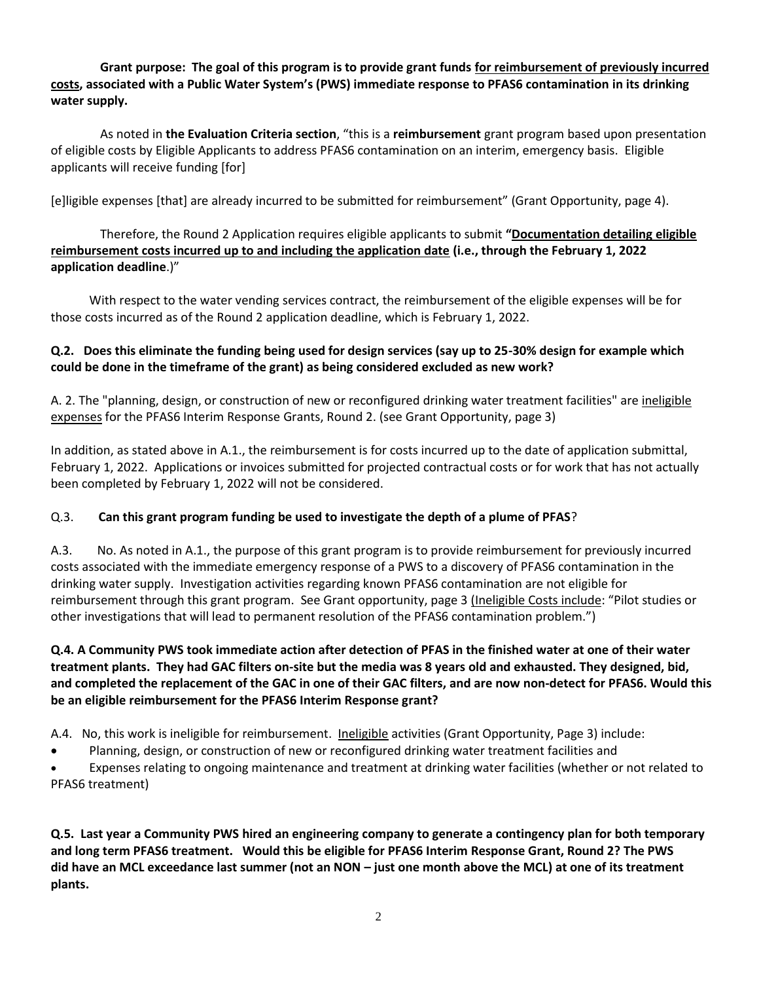### **Grant purpose: The goal of this program is to provide grant funds for reimbursement of previously incurred costs, associated with a Public Water System's (PWS) immediate response to PFAS6 contamination in its drinking water supply.**

As noted in **the Evaluation Criteria section**, "this is a **reimbursement** grant program based upon presentation of eligible costs by Eligible Applicants to address PFAS6 contamination on an interim, emergency basis. Eligible applicants will receive funding [for]

[e]ligible expenses [that] are already incurred to be submitted for reimbursement" (Grant Opportunity, page 4).

### Therefore, the Round 2 Application requires eligible applicants to submit **"Documentation detailing eligible reimbursement costs incurred up to and including the application date (i.e., through the February 1, 2022 application deadline**.)"

With respect to the water vending services contract, the reimbursement of the eligible expenses will be for those costs incurred as of the Round 2 application deadline, which is February 1, 2022.

#### **Q.2. Does this eliminate the funding being used for design services (say up to 25-30% design for example which could be done in the timeframe of the grant) as being considered excluded as new work?**

A. 2. The "planning, design, or construction of new or reconfigured drinking water treatment facilities" are ineligible expenses for the PFAS6 Interim Response Grants, Round 2. (see Grant Opportunity, page 3)

In addition, as stated above in A.1., the reimbursement is for costs incurred up to the date of application submittal, February 1, 2022. Applications or invoices submitted for projected contractual costs or for work that has not actually been completed by February 1, 2022 will not be considered.

#### Q.3. **Can this grant program funding be used to investigate the depth of a plume of PFAS**?

A.3. No. As noted in A.1., the purpose of this grant program is to provide reimbursement for previously incurred costs associated with the immediate emergency response of a PWS to a discovery of PFAS6 contamination in the drinking water supply. Investigation activities regarding known PFAS6 contamination are not eligible for reimbursement through this grant program. See Grant opportunity, page 3 (Ineligible Costs include: "Pilot studies or other investigations that will lead to permanent resolution of the PFAS6 contamination problem.")

#### **Q.4. A Community PWS took immediate action after detection of PFAS in the finished water at one of their water treatment plants. They had GAC filters on-site but the media was 8 years old and exhausted. They designed, bid, and completed the replacement of the GAC in one of their GAC filters, and are now non-detect for PFAS6. Would this be an eligible reimbursement for the PFAS6 Interim Response grant?**

A.4. No, this work is ineligible for reimbursement. Ineligible activities (Grant Opportunity, Page 3) include:

- Planning, design, or construction of new or reconfigured drinking water treatment facilities and
- Expenses relating to ongoing maintenance and treatment at drinking water facilities (whether or not related to PFAS6 treatment)

**Q.5. Last year a Community PWS hired an engineering company to generate a contingency plan for both temporary and long term PFAS6 treatment. Would this be eligible for PFAS6 Interim Response Grant, Round 2? The PWS did have an MCL exceedance last summer (not an NON – just one month above the MCL) at one of its treatment plants.**